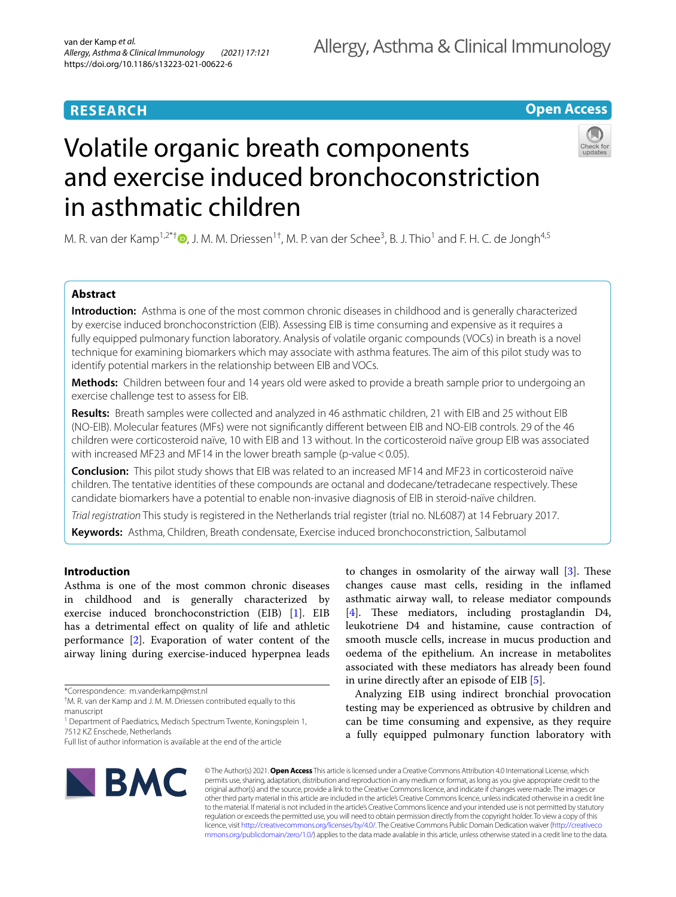# **RESEARCH**

# **Open Access**

# Volatile organic breath components and exercise induced bronchoconstriction in asthmatic children

M. R. van der Kamp<sup>1,2\*†</sup>®[,](http://orcid.org/0000-0003-3053-2342) J. M. M. Driessen<sup>1†</sup>, M. P. van der Schee<sup>3</sup>, B. J. Thio<sup>1</sup> and F. H. C. de Jongh<sup>4,5</sup>

# **Abstract**

**Introduction:** Asthma is one of the most common chronic diseases in childhood and is generally characterized by exercise induced bronchoconstriction (EIB). Assessing EIB is time consuming and expensive as it requires a fully equipped pulmonary function laboratory. Analysis of volatile organic compounds (VOCs) in breath is a novel technique for examining biomarkers which may associate with asthma features. The aim of this pilot study was to identify potential markers in the relationship between EIB and VOCs.

**Methods:** Children between four and 14 years old were asked to provide a breath sample prior to undergoing an exercise challenge test to assess for EIB.

**Results:** Breath samples were collected and analyzed in 46 asthmatic children, 21 with EIB and 25 without EIB (NO-EIB). Molecular features (MFs) were not signifcantly diferent between EIB and NO-EIB controls. 29 of the 46 children were corticosteroid naïve, 10 with EIB and 13 without. In the corticosteroid naïve group EIB was associated with increased MF23 and MF14 in the lower breath sample (p-value < 0.05).

**Conclusion:** This pilot study shows that EIB was related to an increased MF14 and MF23 in corticosteroid naïve children. The tentative identities of these compounds are octanal and dodecane/tetradecane respectively. These candidate biomarkers have a potential to enable non-invasive diagnosis of EIB in steroid-naïve children.

*Trial registration* This study is registered in the Netherlands trial register (trial no. NL6087) at 14 February 2017.

**Keywords:** Asthma, Children, Breath condensate, Exercise induced bronchoconstriction, Salbutamol

# **Introduction**

Asthma is one of the most common chronic diseases in childhood and is generally characterized by exercise induced bronchoconstriction (EIB) [\[1](#page-6-0)]. EIB has a detrimental efect on quality of life and athletic performance [\[2](#page-6-1)]. Evaporation of water content of the airway lining during exercise-induced hyperpnea leads

to changes in osmolarity of the airway wall  $[3]$  $[3]$ . These changes cause mast cells, residing in the infamed asthmatic airway wall, to release mediator compounds  $[4]$  $[4]$ . These mediators, including prostaglandin D4, leukotriene D4 and histamine, cause contraction of smooth muscle cells, increase in mucus production and oedema of the epithelium. An increase in metabolites associated with these mediators has already been found in urine directly after an episode of EIB [\[5](#page-6-4)].

Analyzing EIB using indirect bronchial provocation testing may be experienced as obtrusive by children and can be time consuming and expensive, as they require a fully equipped pulmonary function laboratory with



© The Author(s) 2021. **Open Access** This article is licensed under a Creative Commons Attribution 4.0 International License, which permits use, sharing, adaptation, distribution and reproduction in any medium or format, as long as you give appropriate credit to the original author(s) and the source, provide a link to the Creative Commons licence, and indicate if changes were made. The images or other third party material in this article are included in the article's Creative Commons licence, unless indicated otherwise in a credit line to the material. If material is not included in the article's Creative Commons licence and your intended use is not permitted by statutory regulation or exceeds the permitted use, you will need to obtain permission directly from the copyright holder. To view a copy of this licence, visit [http://creativecommons.org/licenses/by/4.0/.](http://creativecommons.org/licenses/by/4.0/) The Creative Commons Public Domain Dedication waiver ([http://creativeco](http://creativecommons.org/publicdomain/zero/1.0/) [mmons.org/publicdomain/zero/1.0/](http://creativecommons.org/publicdomain/zero/1.0/)) applies to the data made available in this article, unless otherwise stated in a credit line to the data.

<sup>\*</sup>Correspondence: m.vanderkamp@mst.nl

<sup>†</sup> M. R. van der Kamp and J. M. M. Driessen contributed equally to this manuscript

<sup>&</sup>lt;sup>1</sup> Department of Paediatrics, Medisch Spectrum Twente, Koningsplein 1, 7512 KZ Enschede, Netherlands

Full list of author information is available at the end of the article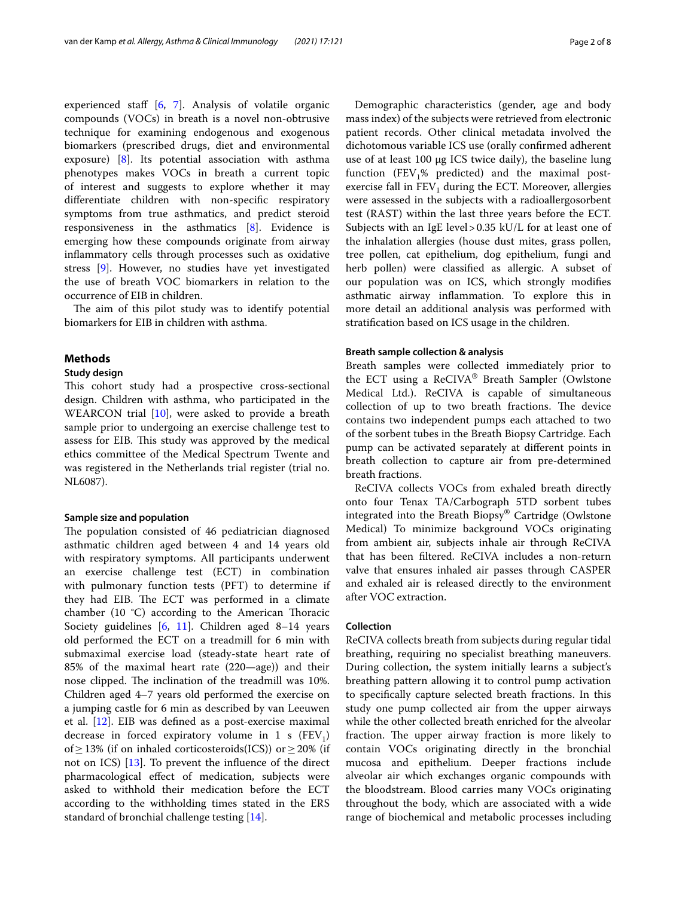experienced staff [\[6](#page-6-5), [7\]](#page-6-6). Analysis of volatile organic compounds (VOCs) in breath is a novel non-obtrusive technique for examining endogenous and exogenous biomarkers (prescribed drugs, diet and environmental exposure) [[8\]](#page-6-7). Its potential association with asthma phenotypes makes VOCs in breath a current topic of interest and suggests to explore whether it may diferentiate children with non-specifc respiratory symptoms from true asthmatics, and predict steroid responsiveness in the asthmatics [\[8\]](#page-6-7). Evidence is emerging how these compounds originate from airway infammatory cells through processes such as oxidative stress [\[9](#page-6-8)]. However, no studies have yet investigated the use of breath VOC biomarkers in relation to the occurrence of EIB in children.

The aim of this pilot study was to identify potential biomarkers for EIB in children with asthma.

# **Methods**

# **Study design**

This cohort study had a prospective cross-sectional design. Children with asthma, who participated in the WEARCON trial [\[10](#page-6-9)], were asked to provide a breath sample prior to undergoing an exercise challenge test to assess for EIB. This study was approved by the medical ethics committee of the Medical Spectrum Twente and was registered in the Netherlands trial register (trial no. NL6087).

# **Sample size and population**

The population consisted of 46 pediatrician diagnosed asthmatic children aged between 4 and 14 years old with respiratory symptoms. All participants underwent an exercise challenge test (ECT) in combination with pulmonary function tests (PFT) to determine if they had EIB. The ECT was performed in a climate chamber (10 $\degree$ C) according to the American Thoracic Society guidelines [[6](#page-6-5), [11](#page-6-10)]. Children aged 8–14 years old performed the ECT on a treadmill for 6 min with submaximal exercise load (steady-state heart rate of 85% of the maximal heart rate (220—age)) and their nose clipped. The inclination of the treadmill was 10%. Children aged 4–7 years old performed the exercise on a jumping castle for 6 min as described by van Leeuwen et al. [[12\]](#page-6-11). EIB was defned as a post-exercise maximal decrease in forced expiratory volume in 1 s  $(FEV_1)$ of  $\geq$  13% (if on inhaled corticosteroids(ICS)) or  $\geq$  20% (if not on ICS) [\[13](#page-6-12)]. To prevent the infuence of the direct pharmacological efect of medication, subjects were asked to withhold their medication before the ECT according to the withholding times stated in the ERS standard of bronchial challenge testing [\[14](#page-7-0)].

Demographic characteristics (gender, age and body mass index) of the subjects were retrieved from electronic patient records. Other clinical metadata involved the dichotomous variable ICS use (orally confrmed adherent use of at least 100 µg ICS twice daily), the baseline lung function (FEV<sub>1</sub>% predicted) and the maximal postexercise fall in  $FEV<sub>1</sub>$  during the ECT. Moreover, allergies were assessed in the subjects with a radioallergosorbent test (RAST) within the last three years before the ECT. Subjects with an IgE level>0.35 kU/L for at least one of the inhalation allergies (house dust mites, grass pollen, tree pollen, cat epithelium, dog epithelium, fungi and herb pollen) were classifed as allergic. A subset of our population was on ICS, which strongly modifes asthmatic airway infammation. To explore this in more detail an additional analysis was performed with stratifcation based on ICS usage in the children.

#### **Breath sample collection & analysis**

Breath samples were collected immediately prior to the ECT using a ReCIVA® Breath Sampler (Owlstone Medical Ltd.). ReCIVA is capable of simultaneous collection of up to two breath fractions. The device contains two independent pumps each attached to two of the sorbent tubes in the Breath Biopsy Cartridge. Each pump can be activated separately at diferent points in breath collection to capture air from pre-determined breath fractions.

ReCIVA collects VOCs from exhaled breath directly onto four Tenax TA/Carbograph 5TD sorbent tubes integrated into the Breath Biopsy® Cartridge (Owlstone Medical) To minimize background VOCs originating from ambient air, subjects inhale air through ReCIVA that has been fltered. ReCIVA includes a non-return valve that ensures inhaled air passes through CASPER and exhaled air is released directly to the environment after VOC extraction.

#### **Collection**

ReCIVA collects breath from subjects during regular tidal breathing, requiring no specialist breathing maneuvers. During collection, the system initially learns a subject's breathing pattern allowing it to control pump activation to specifcally capture selected breath fractions. In this study one pump collected air from the upper airways while the other collected breath enriched for the alveolar fraction. The upper airway fraction is more likely to contain VOCs originating directly in the bronchial mucosa and epithelium. Deeper fractions include alveolar air which exchanges organic compounds with the bloodstream. Blood carries many VOCs originating throughout the body, which are associated with a wide range of biochemical and metabolic processes including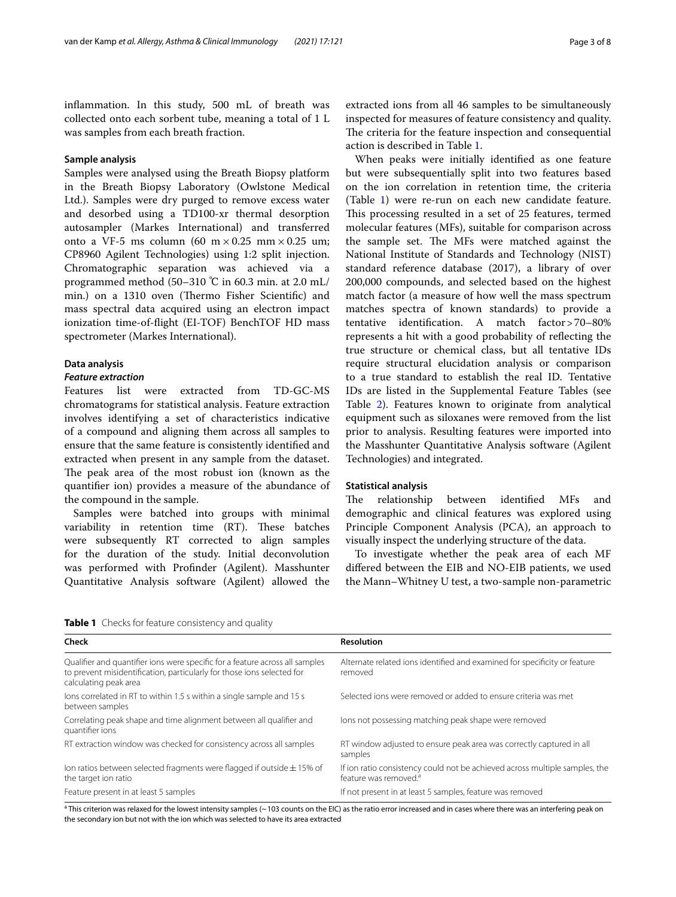infammation. In this study, 500 mL of breath was collected onto each sorbent tube, meaning a total of 1 L was samples from each breath fraction.

#### **Sample analysis**

Samples were analysed using the Breath Biopsy platform in the Breath Biopsy Laboratory (Owlstone Medical Ltd.). Samples were dry purged to remove excess water and desorbed using a TD100-xr thermal desorption autosampler (Markes International) and transferred onto a VF-5 ms column (60 m  $\times$  0.25 mm  $\times$  0.25 um; CP8960 Agilent Technologies) using 1:2 split injection. Chromatographic separation was achieved via a programmed method (50–310 ℃ in 60.3 min. at 2.0 mL/ min.) on a 1310 oven (Thermo Fisher Scientific) and mass spectral data acquired using an electron impact ionization time-of-fight (EI-TOF) BenchTOF HD mass spectrometer (Markes International).

#### **Data analysis**

# *Feature extraction*

Features list were extracted from TD-GC-MS chromatograms for statistical analysis. Feature extraction involves identifying a set of characteristics indicative of a compound and aligning them across all samples to ensure that the same feature is consistently identifed and extracted when present in any sample from the dataset. The peak area of the most robust ion (known as the quantifer ion) provides a measure of the abundance of the compound in the sample.

Samples were batched into groups with minimal variability in retention time (RT). These batches were subsequently RT corrected to align samples for the duration of the study. Initial deconvolution was performed with Profnder (Agilent). Masshunter Quantitative Analysis software (Agilent) allowed the

extracted ions from all 46 samples to be simultaneously inspected for measures of feature consistency and quality. The criteria for the feature inspection and consequential action is described in Table [1](#page-2-0).

When peaks were initially identifed as one feature but were subsequentially split into two features based on the ion correlation in retention time, the criteria (Table [1\)](#page-2-0) were re-run on each new candidate feature. This processing resulted in a set of 25 features, termed molecular features (MFs), suitable for comparison across the sample set. The MFs were matched against the National Institute of Standards and Technology (NIST) standard reference database (2017), a library of over 200,000 compounds, and selected based on the highest match factor (a measure of how well the mass spectrum matches spectra of known standards) to provide a tentative identifcation. A match factor>70–80% represents a hit with a good probability of refecting the true structure or chemical class, but all tentative IDs require structural elucidation analysis or comparison to a true standard to establish the real ID. Tentative IDs are listed in the Supplemental Feature Tables (see Table [2\)](#page-3-0). Features known to originate from analytical equipment such as siloxanes were removed from the list prior to analysis. Resulting features were imported into the Masshunter Quantitative Analysis software (Agilent Technologies) and integrated.

# **Statistical analysis**

The relationship between identified MFs and demographic and clinical features was explored using Principle Component Analysis (PCA), an approach to visually inspect the underlying structure of the data.

To investigate whether the peak area of each MF difered between the EIB and NO-EIB patients, we used the Mann–Whitney U test, a two-sample non-parametric

<span id="page-2-0"></span>

| Table 1 Checks for feature consistency and quality |  |  |  |
|----------------------------------------------------|--|--|--|
|----------------------------------------------------|--|--|--|

| Check                                                                                                                                                                           | <b>Resolution</b>                                                                                                |
|---------------------------------------------------------------------------------------------------------------------------------------------------------------------------------|------------------------------------------------------------------------------------------------------------------|
| Qualifier and quantifier ions were specific for a feature across all samples<br>to prevent misidentification, particularly for those ions selected for<br>calculating peak area | Alternate related ions identified and examined for specificity or feature<br>removed                             |
| lons correlated in RT to within 1.5 s within a single sample and 15 s<br>between samples                                                                                        | Selected ions were removed or added to ensure criteria was met                                                   |
| Correlating peak shape and time alignment between all qualifier and<br>quantifier ions                                                                                          | lons not possessing matching peak shape were removed                                                             |
| RT extraction window was checked for consistency across all samples                                                                                                             | RT window adjusted to ensure peak area was correctly captured in all<br>samples                                  |
| Ion ratios between selected fragments were flagged if outside $\pm$ 15% of<br>the target ion ratio                                                                              | If ion ratio consistency could not be achieved across multiple samples, the<br>feature was removed. <sup>a</sup> |
| Feature present in at least 5 samples                                                                                                                                           | If not present in at least 5 samples, feature was removed                                                        |

<sup>a</sup> This criterion was relaxed for the lowest intensity samples (~103 counts on the EIC) as the ratio error increased and in cases where there was an interfering peak on the secondary ion but not with the ion which was selected to have its area extracted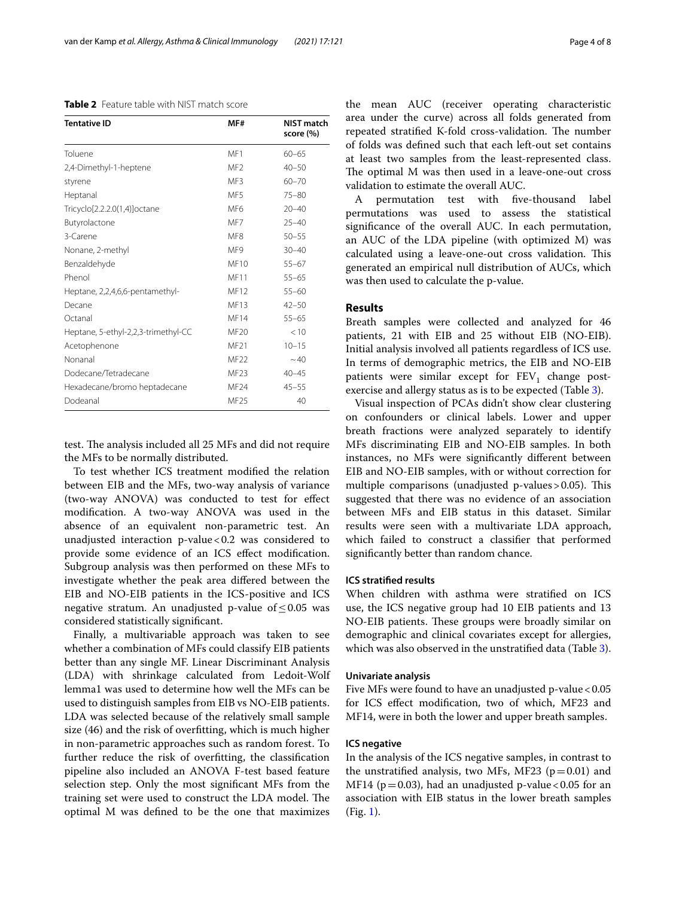<span id="page-3-0"></span>**Table 2** Feature table with NIST match score

| <b>Tentative ID</b>                 | MF#              | NIST match<br>score (%) |
|-------------------------------------|------------------|-------------------------|
| Toluene                             | MF1              | $60 - 65$               |
| 2,4-Dimethyl-1-heptene              | MF <sub>2</sub>  | $40 - 50$               |
| styrene                             | MF3              | $60 - 70$               |
| Heptanal                            | MF5              | $75 - 80$               |
| Tricyclo[2.2.2.0(1,4)]octane        | MF <sub>6</sub>  | $20 - 40$               |
| Butyrolactone                       | MF7              | $25 - 40$               |
| 3-Carene                            | MF <sub>8</sub>  | $50 - 55$               |
| Nonane, 2-methyl                    | MF9              | $30 - 40$               |
| Benzaldehyde                        | MF10             | $55 - 67$               |
| Phenol                              | MF11             | $55 - 65$               |
| Heptane, 2,2,4,6,6-pentamethyl-     | MF12             | $55 - 60$               |
| Decane                              | MF13             | $42 - 50$               |
| Octanal                             | MF14             | $55 - 65$               |
| Heptane, 5-ethyl-2,2,3-trimethyl-CC | MF20             | < 10                    |
| Acetophenone                        | MF21             | $10 - 15$               |
| Nonanal                             | MF <sub>22</sub> | $~1$ 40                 |
| Dodecane/Tetradecane                | <b>MF23</b>      | $40 - 45$               |
| Hexadecane/bromo heptadecane        | MF24             | $45 - 55$               |
| Dodeanal                            | MF25             | 40                      |

test. The analysis included all 25 MFs and did not require the MFs to be normally distributed.

To test whether ICS treatment modifed the relation between EIB and the MFs, two-way analysis of variance (two-way ANOVA) was conducted to test for efect modifcation. A two-way ANOVA was used in the absence of an equivalent non-parametric test. An unadjusted interaction  $p$ -value < 0.2 was considered to provide some evidence of an ICS efect modifcation. Subgroup analysis was then performed on these MFs to investigate whether the peak area difered between the EIB and NO-EIB patients in the ICS-positive and ICS negative stratum. An unadjusted p-value of  $\leq 0.05$  was considered statistically signifcant.

Finally, a multivariable approach was taken to see whether a combination of MFs could classify EIB patients better than any single MF. Linear Discriminant Analysis (LDA) with shrinkage calculated from Ledoit-Wolf lemma1 was used to determine how well the MFs can be used to distinguish samples from EIB vs NO-EIB patients. LDA was selected because of the relatively small sample size (46) and the risk of overftting, which is much higher in non-parametric approaches such as random forest. To further reduce the risk of overftting, the classifcation pipeline also included an ANOVA F-test based feature selection step. Only the most signifcant MFs from the training set were used to construct the LDA model. The optimal M was defned to be the one that maximizes

the mean AUC (receiver operating characteristic area under the curve) across all folds generated from repeated stratified K-fold cross-validation. The number of folds was defned such that each left-out set contains at least two samples from the least-represented class. The optimal M was then used in a leave-one-out cross validation to estimate the overall AUC.

A permutation test with fve-thousand label permutations was used to assess the statistical signifcance of the overall AUC. In each permutation, an AUC of the LDA pipeline (with optimized M) was calculated using a leave-one-out cross validation. This generated an empirical null distribution of AUCs, which was then used to calculate the p-value.

# **Results**

Breath samples were collected and analyzed for 46 patients, 21 with EIB and 25 without EIB (NO-EIB). Initial analysis involved all patients regardless of ICS use. In terms of demographic metrics, the EIB and NO-EIB patients were similar except for  $FEV<sub>1</sub>$  change postexercise and allergy status as is to be expected (Table [3\)](#page-4-0).

Visual inspection of PCAs didn't show clear clustering on confounders or clinical labels. Lower and upper breath fractions were analyzed separately to identify MFs discriminating EIB and NO-EIB samples. In both instances, no MFs were signifcantly diferent between EIB and NO-EIB samples, with or without correction for multiple comparisons (unadjusted p-values > 0.05). This suggested that there was no evidence of an association between MFs and EIB status in this dataset. Similar results were seen with a multivariate LDA approach, which failed to construct a classifer that performed signifcantly better than random chance.

#### **ICS stratifed results**

When children with asthma were stratifed on ICS use, the ICS negative group had 10 EIB patients and 13 NO-EIB patients. These groups were broadly similar on demographic and clinical covariates except for allergies, which was also observed in the unstratifed data (Table [3](#page-4-0)).

# **Univariate analysis**

Five MFs were found to have an unadjusted p-value  $< 0.05$ for ICS efect modifcation, two of which, MF23 and MF14, were in both the lower and upper breath samples.

## **ICS negative**

In the analysis of the ICS negative samples, in contrast to the unstratified analysis, two MFs, MF23 ( $p=0.01$ ) and MF14 ( $p=0.03$ ), had an unadjusted p-value < 0.05 for an association with EIB status in the lower breath samples (Fig. [1\)](#page-4-1).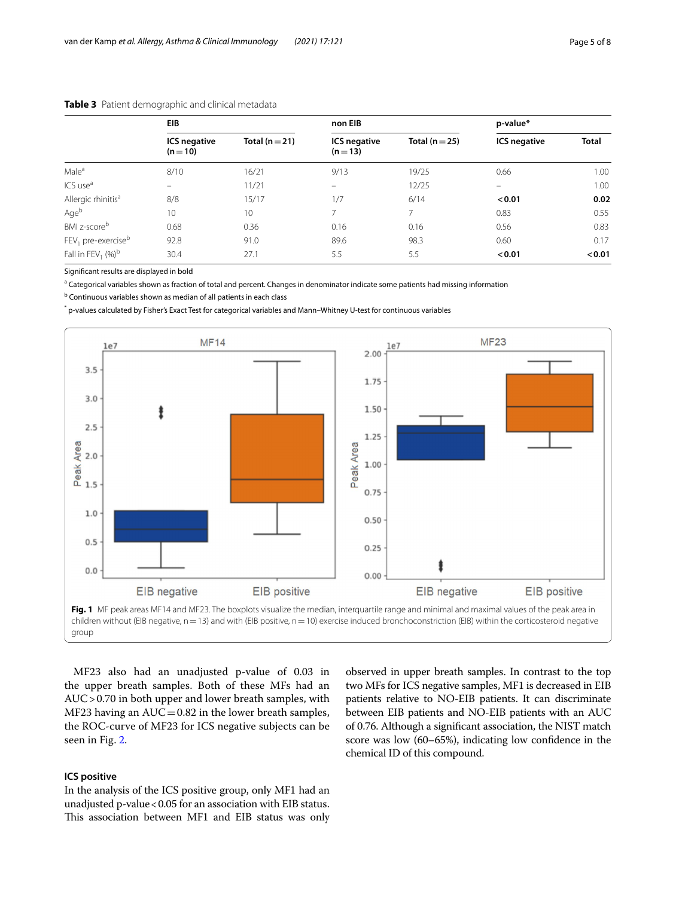|                                  | EIB                             |                    | non EIB                         |                    | p-value*            |              |
|----------------------------------|---------------------------------|--------------------|---------------------------------|--------------------|---------------------|--------------|
|                                  | <b>ICS negative</b><br>$(n=10)$ | Total ( $n = 21$ ) | <b>ICS negative</b><br>$(n=13)$ | Total ( $n = 25$ ) | <b>ICS negative</b> | <b>Total</b> |
| Male <sup>a</sup>                | 8/10                            | 16/21              | 9/13                            | 19/25              | 0.66                | 1.00         |
| ICS use <sup>a</sup>             | $\qquad \qquad -$               | 11/21              | -                               | 12/25              | $\equiv$            | 1.00         |
| Allergic rhinitis <sup>a</sup>   | 8/8                             | 15/17              | 1/7                             | 6/14               | < 0.01              | 0.02         |
| Ageb                             | 10                              | 10 <sup>°</sup>    |                                 | 7                  | 0.83                | 0.55         |
| BMI z-score <sup>b</sup>         | 0.68                            | 0.36               | 0.16                            | 0.16               | 0.56                | 0.83         |
| $FEV1$ pre-exercise <sup>b</sup> | 92.8                            | 91.0               | 89.6                            | 98.3               | 0.60                | 0.17         |
| Fall in FEV <sub>1</sub> $(%)^b$ | 30.4                            | 27.1               | 5.5                             | 5.5                | < 0.01              | < 0.01       |

# <span id="page-4-0"></span>**Table 3** Patient demographic and clinical metadata

Signifcant results are displayed in bold

<sup>a</sup> Categorical variables shown as fraction of total and percent. Changes in denominator indicate some patients had missing information

<sup>b</sup> Continuous variables shown as median of all patients in each class

\* p-values calculated by Fisher's Exact Test for categorical variables and Mann–Whitney U-test for continuous variables



<span id="page-4-1"></span>MF23 also had an unadjusted p-value of 0.03 in the upper breath samples. Both of these MFs had an AUC>0.70 in both upper and lower breath samples, with MF23 having an  $AUC = 0.82$  in the lower breath samples, the ROC-curve of MF23 for ICS negative subjects can be seen in Fig. [2.](#page-5-0)

# **ICS positive**

In the analysis of the ICS positive group, only MF1 had an unadjusted p-value<0.05 for an association with EIB status. This association between MF1 and EIB status was only

observed in upper breath samples. In contrast to the top two MFs for ICS negative samples, MF1 is decreased in EIB patients relative to NO-EIB patients. It can discriminate between EIB patients and NO-EIB patients with an AUC of 0.76. Although a signifcant association, the NIST match score was low (60–65%), indicating low confdence in the chemical ID of this compound.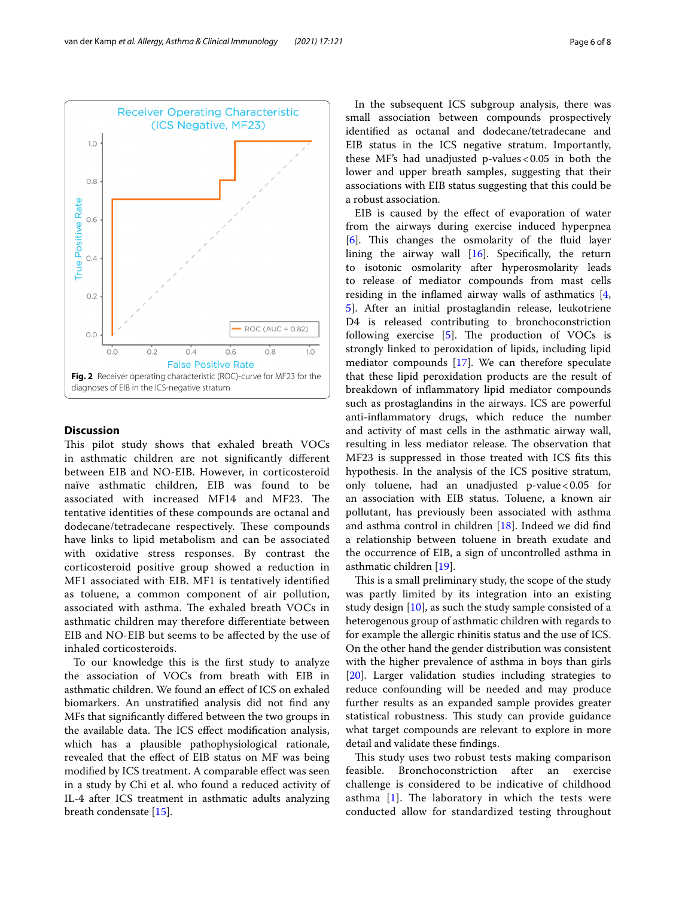

# <span id="page-5-0"></span>**Discussion**

This pilot study shows that exhaled breath VOCs in asthmatic children are not signifcantly diferent between EIB and NO-EIB. However, in corticosteroid naïve asthmatic children, EIB was found to be associated with increased MF14 and MF23. The tentative identities of these compounds are octanal and dodecane/tetradecane respectively. These compounds have links to lipid metabolism and can be associated with oxidative stress responses. By contrast the corticosteroid positive group showed a reduction in MF1 associated with EIB. MF1 is tentatively identifed as toluene, a common component of air pollution, associated with asthma. The exhaled breath VOCs in asthmatic children may therefore diferentiate between EIB and NO-EIB but seems to be afected by the use of inhaled corticosteroids.

To our knowledge this is the frst study to analyze the association of VOCs from breath with EIB in asthmatic children. We found an efect of ICS on exhaled biomarkers. An unstratifed analysis did not fnd any MFs that signifcantly difered between the two groups in the available data. The ICS effect modification analysis, which has a plausible pathophysiological rationale, revealed that the efect of EIB status on MF was being modifed by ICS treatment. A comparable efect was seen in a study by Chi et al. who found a reduced activity of IL-4 after ICS treatment in asthmatic adults analyzing breath condensate [[15\]](#page-7-1).

In the subsequent ICS subgroup analysis, there was small association between compounds prospectively identifed as octanal and dodecane/tetradecane and EIB status in the ICS negative stratum. Importantly, these MF's had unadjusted p-values  $< 0.05$  in both the lower and upper breath samples, suggesting that their associations with EIB status suggesting that this could be a robust association.

EIB is caused by the efect of evaporation of water from the airways during exercise induced hyperpnea [[6\]](#page-6-5). This changes the osmolarity of the fluid layer lining the airway wall  $[16]$  $[16]$ . Specifically, the return to isotonic osmolarity after hyperosmolarity leads to release of mediator compounds from mast cells residing in the infamed airway walls of asthmatics [\[4](#page-6-3), [5\]](#page-6-4). After an initial prostaglandin release, leukotriene D4 is released contributing to bronchoconstriction following exercise  $[5]$  $[5]$  $[5]$ . The production of VOCs is strongly linked to peroxidation of lipids, including lipid mediator compounds [\[17\]](#page-7-3). We can therefore speculate that these lipid peroxidation products are the result of breakdown of infammatory lipid mediator compounds such as prostaglandins in the airways. ICS are powerful anti-infammatory drugs, which reduce the number and activity of mast cells in the asthmatic airway wall, resulting in less mediator release. The observation that MF23 is suppressed in those treated with ICS fts this hypothesis. In the analysis of the ICS positive stratum, only toluene, had an unadjusted p-value < $0.05$  for an association with EIB status. Toluene, a known air pollutant, has previously been associated with asthma and asthma control in children [[18\]](#page-7-4). Indeed we did fnd a relationship between toluene in breath exudate and the occurrence of EIB, a sign of uncontrolled asthma in asthmatic children [\[19](#page-7-5)].

This is a small preliminary study, the scope of the study was partly limited by its integration into an existing study design [\[10](#page-6-9)], as such the study sample consisted of a heterogenous group of asthmatic children with regards to for example the allergic rhinitis status and the use of ICS. On the other hand the gender distribution was consistent with the higher prevalence of asthma in boys than girls [[20\]](#page-7-6). Larger validation studies including strategies to reduce confounding will be needed and may produce further results as an expanded sample provides greater statistical robustness. This study can provide guidance what target compounds are relevant to explore in more detail and validate these fndings.

This study uses two robust tests making comparison feasible. Bronchoconstriction after an exercise challenge is considered to be indicative of childhood asthma  $[1]$  $[1]$  $[1]$ . The laboratory in which the tests were conducted allow for standardized testing throughout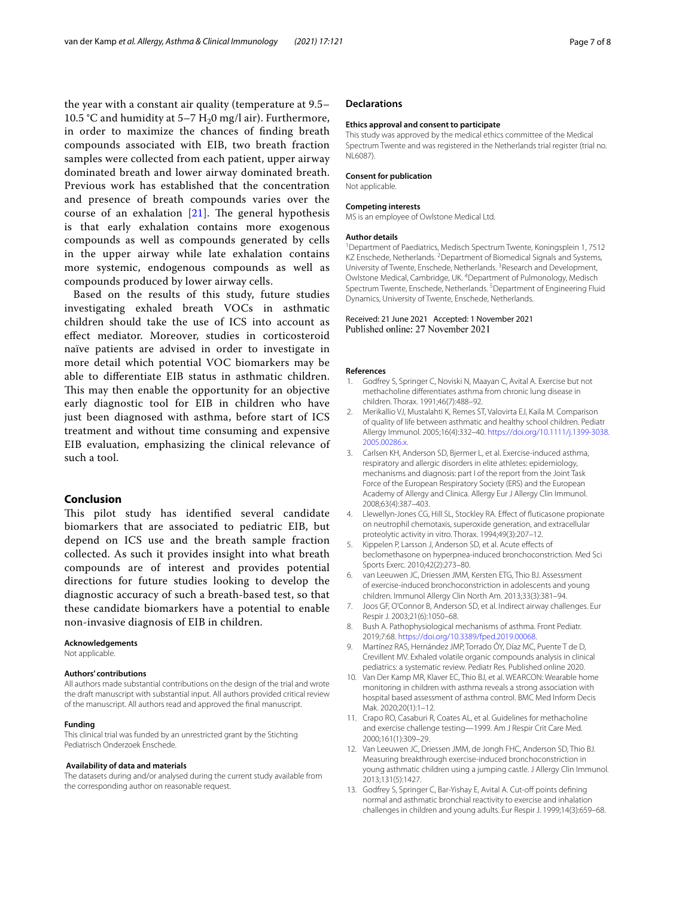the year with a constant air quality (temperature at 9.5– 10.5 °C and humidity at 5–7  $H<sub>2</sub>0$  mg/l air). Furthermore, in order to maximize the chances of fnding breath compounds associated with EIB, two breath fraction samples were collected from each patient, upper airway dominated breath and lower airway dominated breath. Previous work has established that the concentration and presence of breath compounds varies over the course of an exhalation  $[21]$  $[21]$  $[21]$ . The general hypothesis is that early exhalation contains more exogenous compounds as well as compounds generated by cells in the upper airway while late exhalation contains more systemic, endogenous compounds as well as compounds produced by lower airway cells.

Based on the results of this study, future studies investigating exhaled breath VOCs in asthmatic children should take the use of ICS into account as efect mediator. Moreover, studies in corticosteroid naïve patients are advised in order to investigate in more detail which potential VOC biomarkers may be able to diferentiate EIB status in asthmatic children. This may then enable the opportunity for an objective early diagnostic tool for EIB in children who have just been diagnosed with asthma, before start of ICS treatment and without time consuming and expensive EIB evaluation, emphasizing the clinical relevance of such a tool.

# **Conclusion**

This pilot study has identified several candidate biomarkers that are associated to pediatric EIB, but depend on ICS use and the breath sample fraction collected. As such it provides insight into what breath compounds are of interest and provides potential directions for future studies looking to develop the diagnostic accuracy of such a breath-based test, so that these candidate biomarkers have a potential to enable non-invasive diagnosis of EIB in children.

#### **Acknowledgements**

Not applicable.

#### **Authors' contributions**

All authors made substantial contributions on the design of the trial and wrote the draft manuscript with substantial input. All authors provided critical review of the manuscript. All authors read and approved the fnal manuscript.

#### **Funding**

This clinical trial was funded by an unrestricted grant by the Stichting Pediatrisch Onderzoek Enschede.

#### **Availability of data and materials**

The datasets during and/or analysed during the current study available from the corresponding author on reasonable request.

#### **Declarations**

#### **Ethics approval and consent to participate**

This study was approved by the medical ethics committee of the Medical Spectrum Twente and was registered in the Netherlands trial register (trial no. NL6087).

#### **Consent for publication**

Not applicable.

#### **Competing interests**

MS is an employee of Owlstone Medical Ltd.

#### **Author details**

<sup>1</sup> Department of Paediatrics, Medisch Spectrum Twente, Koningsplein 1, 7512 KZ Enschede, Netherlands. <sup>2</sup> Department of Biomedical Signals and Systems, University of Twente, Enschede, Netherlands.<sup>3</sup> Research and Development, Owlstone Medical, Cambridge, UK. 4 Department of Pulmonology, Medisch Spectrum Twente, Enschede, Netherlands.<sup>5</sup> Department of Engineering Fluid Dynamics, University of Twente, Enschede, Netherlands.

#### Received: 21 June 2021 Accepted: 1 November 2021 Published online: 27 November 2021

#### **References**

- <span id="page-6-0"></span>Godfrey S, Springer C, Noviski N, Maayan C, Avital A. Exercise but not methacholine diferentiates asthma from chronic lung disease in children. Thorax. 1991;46(7):488–92.
- <span id="page-6-1"></span>2. Merikallio VJ, Mustalahti K, Remes ST, Valovirta EJ, Kaila M. Comparison of quality of life between asthmatic and healthy school children. Pediatr Allergy Immunol. 2005;16(4):332–40. [https://doi.org/10.1111/j.1399-3038.](https://doi.org/10.1111/j.1399-3038.2005.00286.x) [2005.00286.x](https://doi.org/10.1111/j.1399-3038.2005.00286.x).
- <span id="page-6-2"></span>3. Carlsen KH, Anderson SD, Bjermer L, et al. Exercise-induced asthma, respiratory and allergic disorders in elite athletes: epidemiology, mechanisms and diagnosis: part I of the report from the Joint Task Force of the European Respiratory Society (ERS) and the European Academy of Allergy and Clinica. Allergy Eur J Allergy Clin Immunol. 2008;63(4):387–403.
- <span id="page-6-3"></span>4. Llewellyn-Jones CG, Hill SL, Stockley RA. Efect of futicasone propionate on neutrophil chemotaxis, superoxide generation, and extracellular proteolytic activity in vitro. Thorax. 1994;49(3):207–12.
- <span id="page-6-4"></span>5. Kippelen P, Larsson J, Anderson SD, et al. Acute efects of beclomethasone on hyperpnea-induced bronchoconstriction. Med Sci Sports Exerc. 2010;42(2):273–80.
- <span id="page-6-5"></span>6. van Leeuwen JC, Driessen JMM, Kersten ETG, Thio BJ. Assessment of exercise-induced bronchoconstriction in adolescents and young children. Immunol Allergy Clin North Am. 2013;33(3):381–94.
- <span id="page-6-6"></span>7. Joos GF, O'Connor B, Anderson SD, et al. Indirect airway challenges. Eur Respir J. 2003;21(6):1050–68.
- <span id="page-6-7"></span>8. Bush A. Pathophysiological mechanisms of asthma. Front Pediatr. 2019;7:68. <https://doi.org/10.3389/fped.2019.00068>.
- <span id="page-6-8"></span>9. Martínez RAS, Hernández JMP, Torrado ÓY, Díaz MC, Puente T de D, Crevillent MV. Exhaled volatile organic compounds analysis in clinical pediatrics: a systematic review. Pediatr Res. Published online 2020.
- <span id="page-6-9"></span>10. Van Der Kamp MR, Klaver EC, Thio BJ, et al. WEARCON: Wearable home monitoring in children with asthma reveals a strong association with hospital based assessment of asthma control. BMC Med Inform Decis Mak. 2020;20(1):1–12.
- <span id="page-6-10"></span>11. Crapo RO, Casaburi R, Coates AL, et al. Guidelines for methacholine and exercise challenge testing—1999. Am J Respir Crit Care Med. 2000;161(1):309–29.
- <span id="page-6-11"></span>12. Van Leeuwen JC, Driessen JMM, de Jongh FHC, Anderson SD, Thio BJ. Measuring breakthrough exercise-induced bronchoconstriction in young asthmatic children using a jumping castle. J Allergy Clin Immunol. 2013;131(5):1427.
- <span id="page-6-12"></span>13. Godfrey S, Springer C, Bar-Yishay E, Avital A. Cut-off points defining normal and asthmatic bronchial reactivity to exercise and inhalation challenges in children and young adults. Eur Respir J. 1999;14(3):659–68.